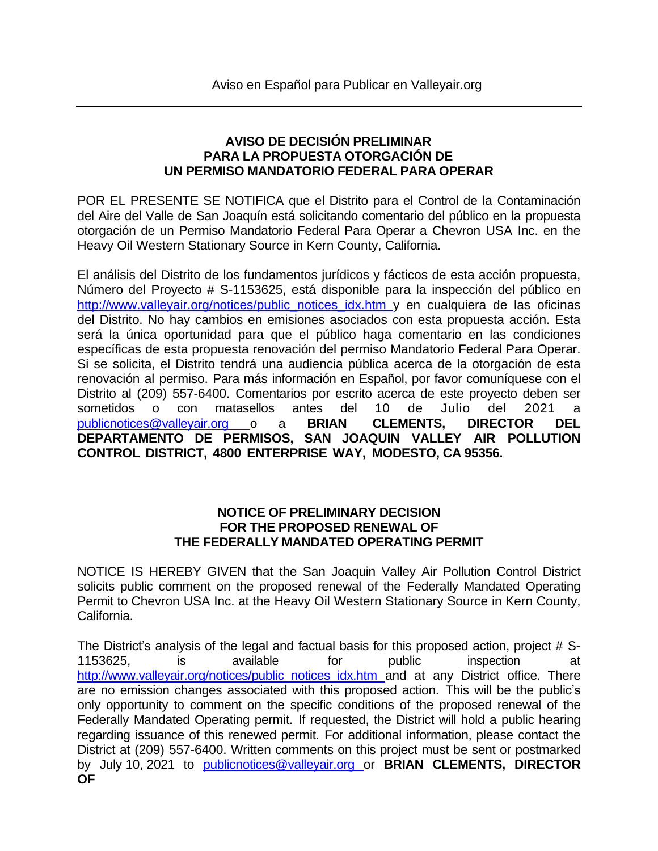## **AVISO DE DECISIÓN PRELIMINAR PARA LA PROPUESTA OTORGACIÓN DE UN PERMISO MANDATORIO FEDERAL PARA OPERAR**

POR EL PRESENTE SE NOTIFICA que el Distrito para el Control de la Contaminación del Aire del Valle de San Joaquín está solicitando comentario del público en la propuesta otorgación de un Permiso Mandatorio Federal Para Operar a Chevron USA Inc. en the Heavy Oil Western Stationary Source in Kern County, California.

El análisis del Distrito de los fundamentos jurídicos y fácticos de esta acción propuesta, Número del Proyecto # S-1153625, está disponible para la inspección del público en [http://www.valleyair.org/notices/public\\_notices\\_idx.htm](http://www.valleyair.org/notices/public_notices_idx.htm) y en cualquiera de las oficinas del Distrito. No hay cambios en emisiones asociados con esta propuesta acción. Esta será la única oportunidad para que el público haga comentario en las condiciones específicas de esta propuesta renovación del permiso Mandatorio Federal Para Operar. Si se solicita, el Distrito tendrá una audiencia pública acerca de la otorgación de esta renovación al permiso. Para más información en Español, por favor comuníquese con el Distrito al (209) 557-6400. Comentarios por escrito acerca de este proyecto deben ser sometidos o con matasellos antes del 10 de Julio del 2021 a [publicnotices@valleyair.org](mailto:publicnotices@valleyair.org) o a **BRIAN CLEMENTS, DIRECTOR DEL DEPARTAMENTO DE PERMISOS, SAN JOAQUIN VALLEY AIR POLLUTION CONTROL DISTRICT, 4800 ENTERPRISE WAY, MODESTO, CA 95356.**

## **NOTICE OF PRELIMINARY DECISION FOR THE PROPOSED RENEWAL OF THE FEDERALLY MANDATED OPERATING PERMIT**

NOTICE IS HEREBY GIVEN that the San Joaquin Valley Air Pollution Control District solicits public comment on the proposed renewal of the Federally Mandated Operating Permit to Chevron USA Inc. at the Heavy Oil Western Stationary Source in Kern County, California.

The District's analysis of the legal and factual basis for this proposed action, project # S-1153625, is available for public inspection at [http://www.valleyair.org/notices/public\\_notices\\_idx.htm](http://www.valleyair.org/notices/public_notices_idx.htm) and at any District office. There are no emission changes associated with this proposed action. This will be the public's only opportunity to comment on the specific conditions of the proposed renewal of the Federally Mandated Operating permit. If requested, the District will hold a public hearing regarding issuance of this renewed permit. For additional information, please contact the District at (209) 557-6400. Written comments on this project must be sent or postmarked by July 10, 2021 to [publicnotices@valleyair.org](mailto:publicnotices@valleyair.org) or **BRIAN CLEMENTS, DIRECTOR OF**